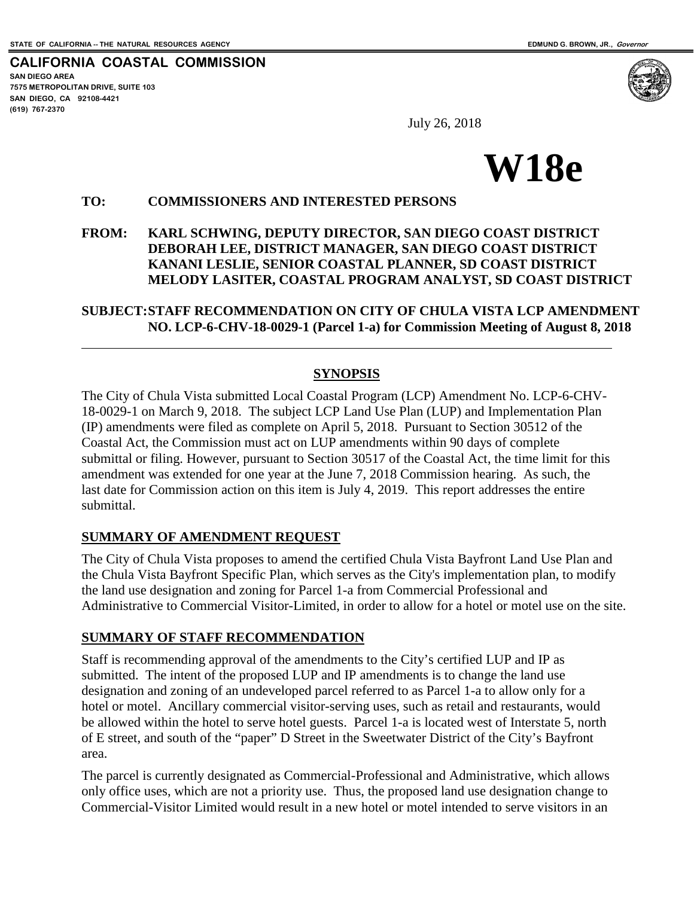$\overline{a}$ 

**CALIFORNIA COASTAL COMMISSION SAN DIEGO AREA 7575 METROPOLITAN DRIVE, SUITE 103 SAN DIEGO, CA 92108-4421 (619) 767-2370**



July 26, 2018



#### **TO: COMMISSIONERS AND INTERESTED PERSONS**

#### **FROM: KARL SCHWING, DEPUTY DIRECTOR, SAN DIEGO COAST DISTRICT DEBORAH LEE, DISTRICT MANAGER, SAN DIEGO COAST DISTRICT KANANI LESLIE, SENIOR COASTAL PLANNER, SD COAST DISTRICT MELODY LASITER, COASTAL PROGRAM ANALYST, SD COAST DISTRICT**

#### **SUBJECT: STAFF RECOMMENDATION ON CITY OF CHULA VISTA LCP AMENDMENT NO. LCP-6-CHV-18-0029-1 (Parcel 1-a) for Commission Meeting of August 8, 2018**

#### **SYNOPSIS**

The City of Chula Vista submitted Local Coastal Program (LCP) Amendment No. LCP-6-CHV-18-0029-1 on March 9, 2018. The subject LCP Land Use Plan (LUP) and Implementation Plan (IP) amendments were filed as complete on April 5, 2018. Pursuant to Section 30512 of the Coastal Act, the Commission must act on LUP amendments within 90 days of complete submittal or filing. However, pursuant to Section 30517 of the Coastal Act, the time limit for this amendment was extended for one year at the June 7, 2018 Commission hearing. As such, the last date for Commission action on this item is July 4, 2019. This report addresses the entire submittal.

#### **SUMMARY OF AMENDMENT REQUEST**

The City of Chula Vista proposes to amend the certified Chula Vista Bayfront Land Use Plan and the Chula Vista Bayfront Specific Plan, which serves as the City's implementation plan, to modify the land use designation and zoning for Parcel 1-a from Commercial Professional and Administrative to Commercial Visitor-Limited, in order to allow for a hotel or motel use on the site.

#### **SUMMARY OF STAFF RECOMMENDATION**

Staff is recommending approval of the amendments to the City's certified LUP and IP as submitted. The intent of the proposed LUP and IP amendments is to change the land use designation and zoning of an undeveloped parcel referred to as Parcel 1-a to allow only for a hotel or motel. Ancillary commercial visitor-serving uses, such as retail and restaurants, would be allowed within the hotel to serve hotel guests. Parcel 1-a is located west of Interstate 5, north of E street, and south of the "paper" D Street in the Sweetwater District of the City's Bayfront area.

The parcel is currently designated as Commercial-Professional and Administrative, which allows only office uses, which are not a priority use. Thus, the proposed land use designation change to Commercial-Visitor Limited would result in a new hotel or motel intended to serve visitors in an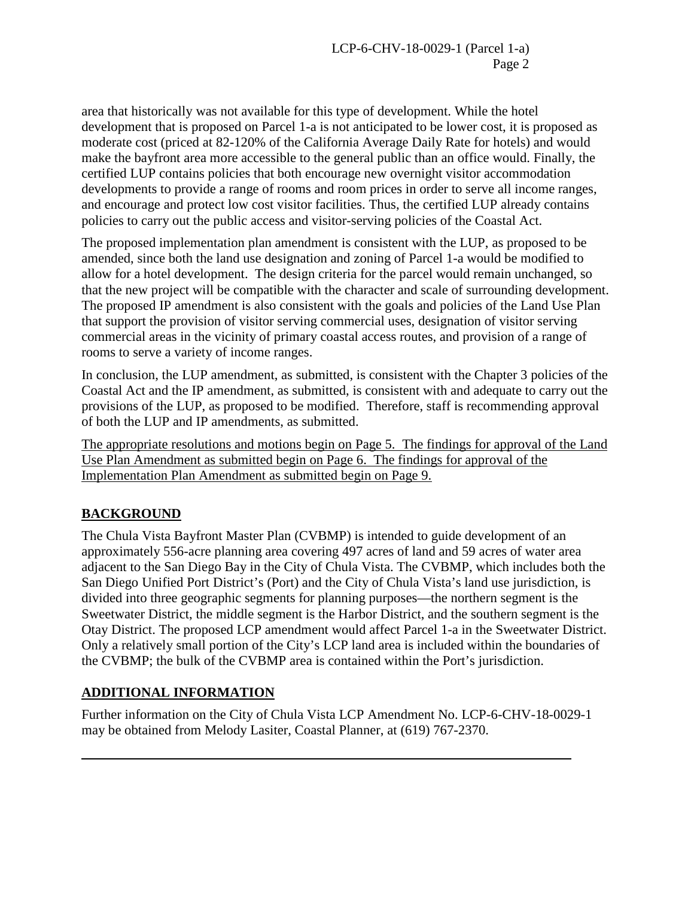area that historically was not available for this type of development. While the hotel development that is proposed on Parcel 1-a is not anticipated to be lower cost, it is proposed as moderate cost (priced at 82-120% of the California Average Daily Rate for hotels) and would make the bayfront area more accessible to the general public than an office would. Finally, the certified LUP contains policies that both encourage new overnight visitor accommodation developments to provide a range of rooms and room prices in order to serve all income ranges, and encourage and protect low cost visitor facilities. Thus, the certified LUP already contains policies to carry out the public access and visitor-serving policies of the Coastal Act.

The proposed implementation plan amendment is consistent with the LUP, as proposed to be amended, since both the land use designation and zoning of Parcel 1-a would be modified to allow for a hotel development. The design criteria for the parcel would remain unchanged, so that the new project will be compatible with the character and scale of surrounding development. The proposed IP amendment is also consistent with the goals and policies of the Land Use Plan that support the provision of visitor serving commercial uses, designation of visitor serving commercial areas in the vicinity of primary coastal access routes, and provision of a range of rooms to serve a variety of income ranges.

In conclusion, the LUP amendment, as submitted, is consistent with the Chapter 3 policies of the Coastal Act and the IP amendment, as submitted, is consistent with and adequate to carry out the provisions of the LUP, as proposed to be modified. Therefore, staff is recommending approval of both the LUP and IP amendments, as submitted.

The appropriate resolutions and motions begin on Page 5. The findings for approval of the Land Use Plan Amendment as submitted begin on Page 6. The findings for approval of the Implementation Plan Amendment as submitted begin on Page 9.

# **BACKGROUND**

 $\overline{a}$ 

The Chula Vista Bayfront Master Plan (CVBMP) is intended to guide development of an approximately 556-acre planning area covering 497 acres of land and 59 acres of water area adjacent to the San Diego Bay in the City of Chula Vista. The CVBMP, which includes both the San Diego Unified Port District's (Port) and the City of Chula Vista's land use jurisdiction, is divided into three geographic segments for planning purposes—the northern segment is the Sweetwater District, the middle segment is the Harbor District, and the southern segment is the Otay District. The proposed LCP amendment would affect Parcel 1-a in the Sweetwater District. Only a relatively small portion of the City's LCP land area is included within the boundaries of the CVBMP; the bulk of the CVBMP area is contained within the Port's jurisdiction.

# **ADDITIONAL INFORMATION**

Further information on the City of Chula Vista LCP Amendment No. LCP-6-CHV-18-0029-1 may be obtained from Melody Lasiter, Coastal Planner, at (619) 767-2370.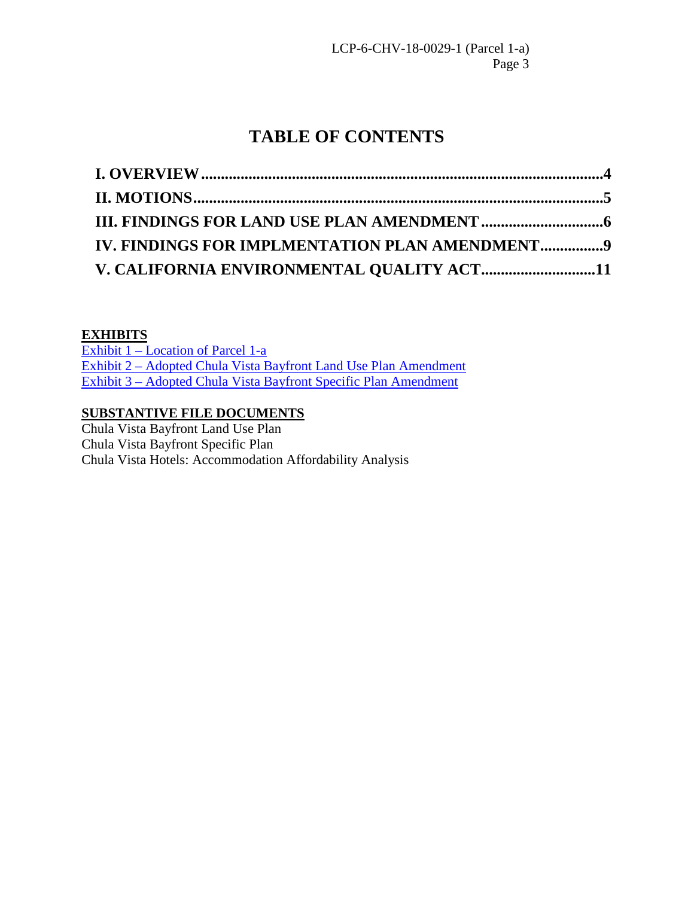# **TABLE OF CONTENTS**

| IV. FINDINGS FOR IMPLMENTATION PLAN AMENDMENT9 |  |
|------------------------------------------------|--|
| V. CALIFORNIA ENVIRONMENTAL QUALITY ACT11      |  |

# **EXHIBITS**

[Exhibit 1 – Location of Parcel 1-a](https://documents.coastal.ca.gov/reports/2018/8/w18e/w18e-8-2018-exhibits.pdf)  [Exhibit 2 – Adopted Chula Vista Bayfront Land Use Plan Amendment](https://documents.coastal.ca.gov/reports/2018/8/w18e/w18e-8-2018-exhibits.pdf)  [Exhibit 3 – Adopted Chula Vista Bayfront Specific Plan Amendment](https://documents.coastal.ca.gov/reports/2018/8/w18e/w18e-8-2018-exhibits.pdf)

# **SUBSTANTIVE FILE DOCUMENTS**

Chula Vista Bayfront Land Use Plan Chula Vista Bayfront Specific Plan Chula Vista Hotels: Accommodation Affordability Analysis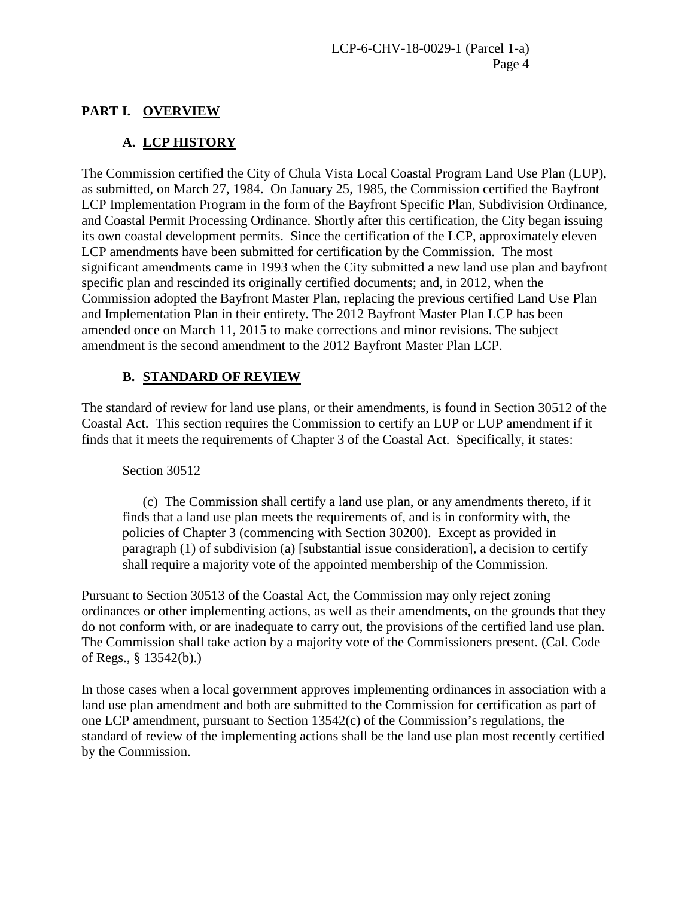# <span id="page-3-0"></span>**PART I. OVERVIEW**

# **A. LCP HISTORY**

The Commission certified the City of Chula Vista Local Coastal Program Land Use Plan (LUP), as submitted, on March 27, 1984. On January 25, 1985, the Commission certified the Bayfront LCP Implementation Program in the form of the Bayfront Specific Plan, Subdivision Ordinance, and Coastal Permit Processing Ordinance. Shortly after this certification, the City began issuing its own coastal development permits. Since the certification of the LCP, approximately eleven LCP amendments have been submitted for certification by the Commission. The most significant amendments came in 1993 when the City submitted a new land use plan and bayfront specific plan and rescinded its originally certified documents; and, in 2012, when the Commission adopted the Bayfront Master Plan, replacing the previous certified Land Use Plan and Implementation Plan in their entirety. The 2012 Bayfront Master Plan LCP has been amended once on March 11, 2015 to make corrections and minor revisions. The subject amendment is the second amendment to the 2012 Bayfront Master Plan LCP.

# **B. STANDARD OF REVIEW**

The standard of review for land use plans, or their amendments, is found in Section 30512 of the Coastal Act. This section requires the Commission to certify an LUP or LUP amendment if it finds that it meets the requirements of Chapter 3 of the Coastal Act. Specifically, it states:

#### Section 30512

(c) The Commission shall certify a land use plan, or any amendments thereto, if it finds that a land use plan meets the requirements of, and is in conformity with, the policies of Chapter 3 (commencing with Section 30200). Except as provided in paragraph (1) of subdivision (a) [substantial issue consideration], a decision to certify shall require a majority vote of the appointed membership of the Commission.

Pursuant to Section 30513 of the Coastal Act, the Commission may only reject zoning ordinances or other implementing actions, as well as their amendments, on the grounds that they do not conform with, or are inadequate to carry out, the provisions of the certified land use plan. The Commission shall take action by a majority vote of the Commissioners present. (Cal. Code of Regs., § 13542(b).)

In those cases when a local government approves implementing ordinances in association with a land use plan amendment and both are submitted to the Commission for certification as part of one LCP amendment, pursuant to Section 13542(c) of the Commission's regulations, the standard of review of the implementing actions shall be the land use plan most recently certified by the Commission.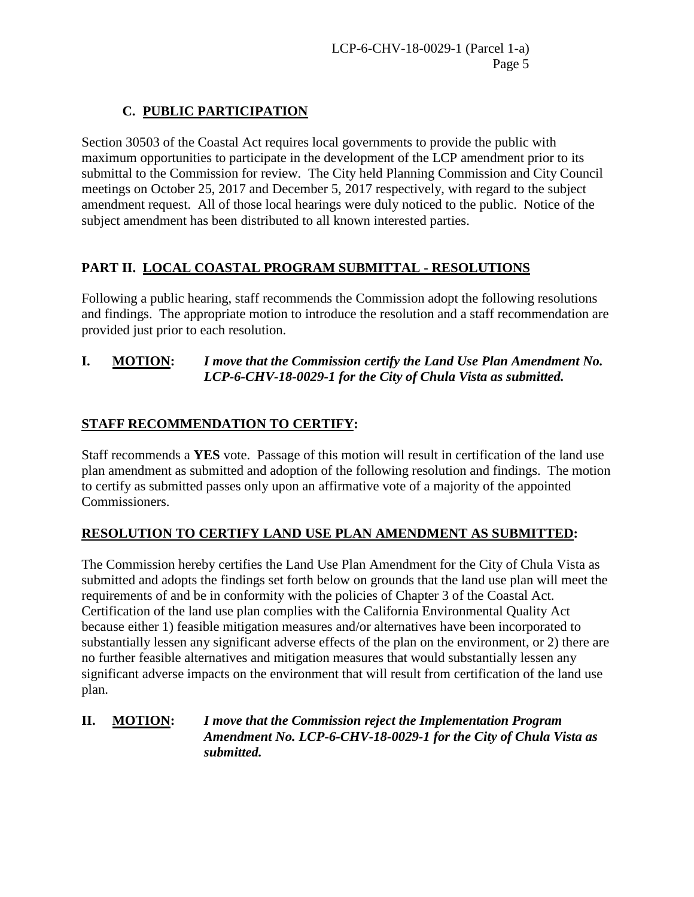# **C. PUBLIC PARTICIPATION**

Section 30503 of the Coastal Act requires local governments to provide the public with maximum opportunities to participate in the development of the LCP amendment prior to its submittal to the Commission for review. The City held Planning Commission and City Council meetings on October 25, 2017 and December 5, 2017 respectively, with regard to the subject amendment request. All of those local hearings were duly noticed to the public. Notice of the subject amendment has been distributed to all known interested parties.

# <span id="page-4-0"></span>**PART II. LOCAL COASTAL PROGRAM SUBMITTAL - RESOLUTIONS**

Following a public hearing, staff recommends the Commission adopt the following resolutions and findings. The appropriate motion to introduce the resolution and a staff recommendation are provided just prior to each resolution.

#### **I. MOTION:** *I move that the Commission certify the Land Use Plan Amendment No. LCP-6-CHV-18-0029-1 for the City of Chula Vista as submitted.*

# **STAFF RECOMMENDATION TO CERTIFY:**

Staff recommends a **YES** vote. Passage of this motion will result in certification of the land use plan amendment as submitted and adoption of the following resolution and findings. The motion to certify as submitted passes only upon an affirmative vote of a majority of the appointed Commissioners.

# **RESOLUTION TO CERTIFY LAND USE PLAN AMENDMENT AS SUBMITTED:**

The Commission hereby certifies the Land Use Plan Amendment for the City of Chula Vista as submitted and adopts the findings set forth below on grounds that the land use plan will meet the requirements of and be in conformity with the policies of Chapter 3 of the Coastal Act. Certification of the land use plan complies with the California Environmental Quality Act because either 1) feasible mitigation measures and/or alternatives have been incorporated to substantially lessen any significant adverse effects of the plan on the environment, or 2) there are no further feasible alternatives and mitigation measures that would substantially lessen any significant adverse impacts on the environment that will result from certification of the land use plan.

#### **II. MOTION:** *I move that the Commission reject the Implementation Program Amendment No. LCP-6-CHV-18-0029-1 for the City of Chula Vista as submitted.*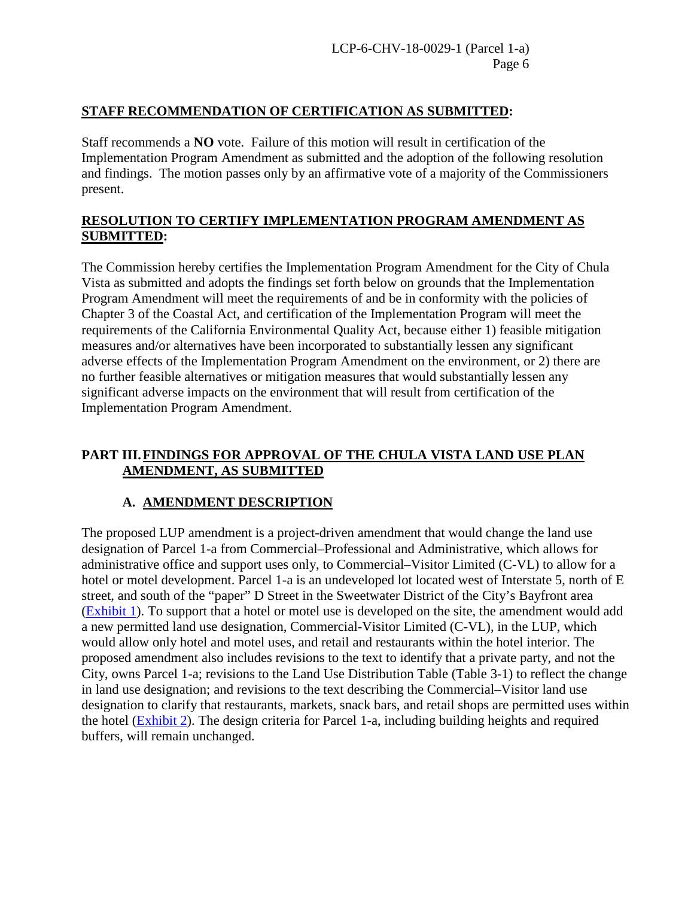#### **STAFF RECOMMENDATION OF CERTIFICATION AS SUBMITTED:**

Staff recommends a **NO** vote. Failure of this motion will result in certification of the Implementation Program Amendment as submitted and the adoption of the following resolution and findings. The motion passes only by an affirmative vote of a majority of the Commissioners present.

#### **RESOLUTION TO CERTIFY IMPLEMENTATION PROGRAM AMENDMENT AS SUBMITTED:**

The Commission hereby certifies the Implementation Program Amendment for the City of Chula Vista as submitted and adopts the findings set forth below on grounds that the Implementation Program Amendment will meet the requirements of and be in conformity with the policies of Chapter 3 of the Coastal Act, and certification of the Implementation Program will meet the requirements of the California Environmental Quality Act, because either 1) feasible mitigation measures and/or alternatives have been incorporated to substantially lessen any significant adverse effects of the Implementation Program Amendment on the environment, or 2) there are no further feasible alternatives or mitigation measures that would substantially lessen any significant adverse impacts on the environment that will result from certification of the Implementation Program Amendment.

### <span id="page-5-0"></span>**PART III.FINDINGS FOR APPROVAL OF THE CHULA VISTA LAND USE PLAN AMENDMENT, AS SUBMITTED**

#### **A. AMENDMENT DESCRIPTION**

The proposed LUP amendment is a project-driven amendment that would change the land use designation of Parcel 1-a from Commercial–Professional and Administrative, which allows for administrative office and support uses only, to Commercial–Visitor Limited (C-VL) to allow for a hotel or motel development. Parcel 1-a is an undeveloped lot located west of Interstate 5, north of E street, and south of the "paper" D Street in the Sweetwater District of the City's Bayfront area [\(Exhibit 1\)](https://documents.coastal.ca.gov/reports/2018/8/w18e/w18e-8-2018-exhibits.pdf). To support that a hotel or motel use is developed on the site, the amendment would add a new permitted land use designation, Commercial-Visitor Limited (C-VL), in the LUP, which would allow only hotel and motel uses, and retail and restaurants within the hotel interior. The proposed amendment also includes revisions to the text to identify that a private party, and not the City, owns Parcel 1-a; revisions to the Land Use Distribution Table (Table 3-1) to reflect the change in land use designation; and revisions to the text describing the Commercial–Visitor land use designation to clarify that restaurants, markets, snack bars, and retail shops are permitted uses within the hotel [\(Exhibit 2\)](https://documents.coastal.ca.gov/reports/2018/8/w18e/w18e-8-2018-exhibits.pdf). The design criteria for Parcel 1-a, including building heights and required buffers, will remain unchanged.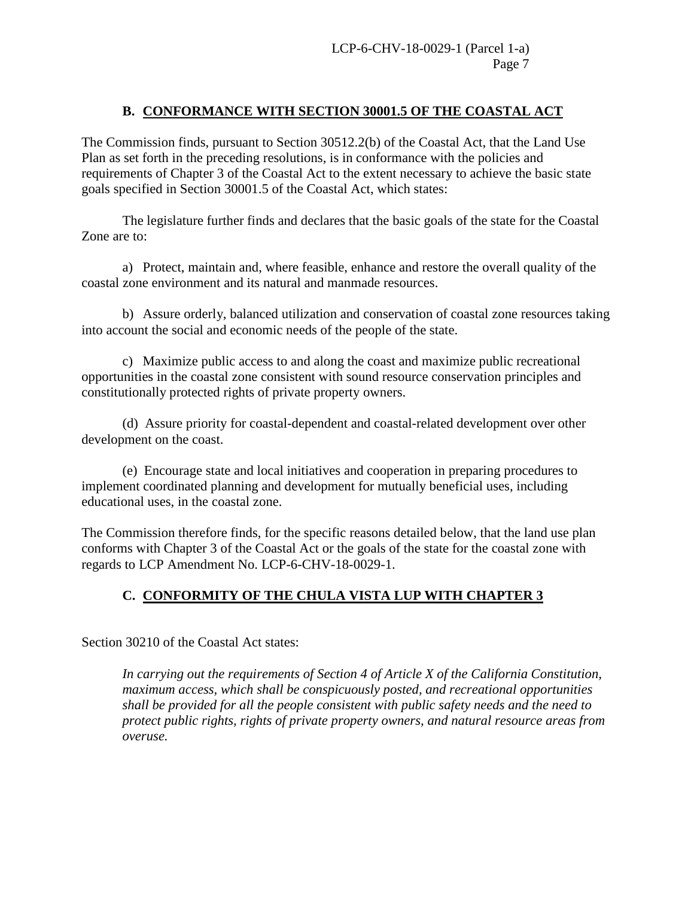#### **B. CONFORMANCE WITH SECTION 30001.5 OF THE COASTAL ACT**

The Commission finds, pursuant to Section 30512.2(b) of the Coastal Act, that the Land Use Plan as set forth in the preceding resolutions, is in conformance with the policies and requirements of Chapter 3 of the Coastal Act to the extent necessary to achieve the basic state goals specified in Section 30001.5 of the Coastal Act, which states:

 The legislature further finds and declares that the basic goals of the state for the Coastal Zone are to:

a) Protect, maintain and, where feasible, enhance and restore the overall quality of the coastal zone environment and its natural and manmade resources.

 b) Assure orderly, balanced utilization and conservation of coastal zone resources taking into account the social and economic needs of the people of the state.

c) Maximize public access to and along the coast and maximize public recreational opportunities in the coastal zone consistent with sound resource conservation principles and constitutionally protected rights of private property owners.

(d) Assure priority for coastal-dependent and coastal-related development over other development on the coast.

(e) Encourage state and local initiatives and cooperation in preparing procedures to implement coordinated planning and development for mutually beneficial uses, including educational uses, in the coastal zone.

The Commission therefore finds, for the specific reasons detailed below, that the land use plan conforms with Chapter 3 of the Coastal Act or the goals of the state for the coastal zone with regards to LCP Amendment No. LCP-6-CHV-18-0029-1.

# **C. CONFORMITY OF THE CHULA VISTA LUP WITH CHAPTER 3**

Section 30210 of the Coastal Act states:

*In carrying out the requirements of Section 4 of Article X of the California Constitution, maximum access, which shall be conspicuously posted, and recreational opportunities shall be provided for all the people consistent with public safety needs and the need to protect public rights, rights of private property owners, and natural resource areas from overuse.*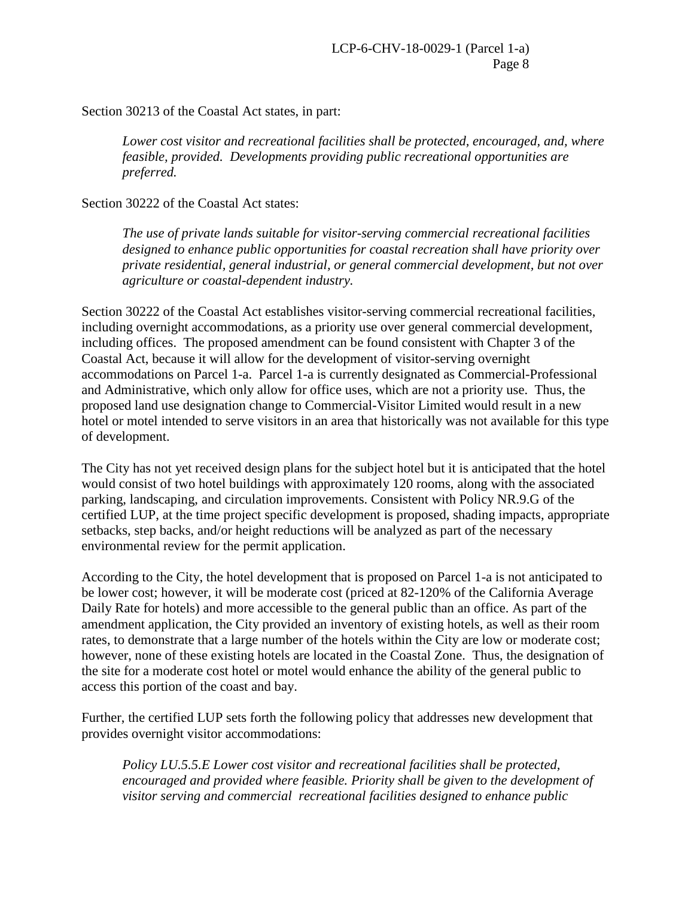Section 30213 of the Coastal Act states, in part:

*Lower cost visitor and recreational facilities shall be protected, encouraged, and, where feasible, provided. Developments providing public recreational opportunities are preferred.*

Section 30222 of the Coastal Act states:

*The use of private lands suitable for visitor-serving commercial recreational facilities designed to enhance public opportunities for coastal recreation shall have priority over private residential, general industrial, or general commercial development, but not over agriculture or coastal-dependent industry.* 

Section 30222 of the Coastal Act establishes visitor-serving commercial recreational facilities, including overnight accommodations, as a priority use over general commercial development, including offices. The proposed amendment can be found consistent with Chapter 3 of the Coastal Act, because it will allow for the development of visitor-serving overnight accommodations on Parcel 1-a. Parcel 1-a is currently designated as Commercial-Professional and Administrative, which only allow for office uses, which are not a priority use. Thus, the proposed land use designation change to Commercial-Visitor Limited would result in a new hotel or motel intended to serve visitors in an area that historically was not available for this type of development.

The City has not yet received design plans for the subject hotel but it is anticipated that the hotel would consist of two hotel buildings with approximately 120 rooms, along with the associated parking, landscaping, and circulation improvements. Consistent with Policy NR.9.G of the certified LUP, at the time project specific development is proposed, shading impacts, appropriate setbacks, step backs, and/or height reductions will be analyzed as part of the necessary environmental review for the permit application.

According to the City, the hotel development that is proposed on Parcel 1-a is not anticipated to be lower cost; however, it will be moderate cost (priced at 82-120% of the California Average Daily Rate for hotels) and more accessible to the general public than an office. As part of the amendment application, the City provided an inventory of existing hotels, as well as their room rates, to demonstrate that a large number of the hotels within the City are low or moderate cost; however, none of these existing hotels are located in the Coastal Zone. Thus, the designation of the site for a moderate cost hotel or motel would enhance the ability of the general public to access this portion of the coast and bay.

Further, the certified LUP sets forth the following policy that addresses new development that provides overnight visitor accommodations:

*Policy LU.5.5.E Lower cost visitor and recreational facilities shall be protected, encouraged and provided where feasible. Priority shall be given to the development of visitor serving and commercial recreational facilities designed to enhance public*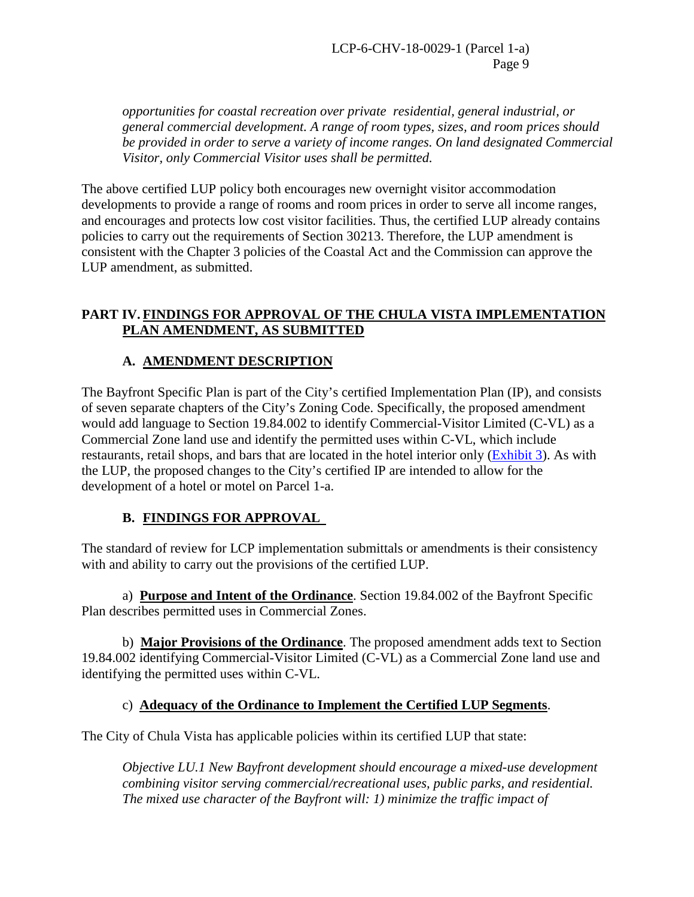*opportunities for coastal recreation over private residential, general industrial, or general commercial development. A range of room types, sizes, and room prices should be provided in order to serve a variety of income ranges. On land designated Commercial Visitor, only Commercial Visitor uses shall be permitted.*

The above certified LUP policy both encourages new overnight visitor accommodation developments to provide a range of rooms and room prices in order to serve all income ranges, and encourages and protects low cost visitor facilities. Thus, the certified LUP already contains policies to carry out the requirements of Section 30213. Therefore, the LUP amendment is consistent with the Chapter 3 policies of the Coastal Act and the Commission can approve the LUP amendment, as submitted.

#### <span id="page-8-0"></span>**PART IV. FINDINGS FOR APPROVAL OF THE CHULA VISTA IMPLEMENTATION PLAN AMENDMENT, AS SUBMITTED**

# **A. AMENDMENT DESCRIPTION**

The Bayfront Specific Plan is part of the City's certified Implementation Plan (IP), and consists of seven separate chapters of the City's Zoning Code. Specifically, the proposed amendment would add language to Section 19.84.002 to identify Commercial-Visitor Limited (C-VL) as a Commercial Zone land use and identify the permitted uses within C-VL, which include restaurants, retail shops, and bars that are located in the hotel interior only [\(Exhibit 3\)](https://documents.coastal.ca.gov/reports/2018/8/w18e/w18e-8-2018-exhibits.pdf). As with the LUP, the proposed changes to the City's certified IP are intended to allow for the development of a hotel or motel on Parcel 1-a.

# **B. FINDINGS FOR APPROVAL**

The standard of review for LCP implementation submittals or amendments is their consistency with and ability to carry out the provisions of the certified LUP.

a) **Purpose and Intent of the Ordinance**. Section 19.84.002 of the Bayfront Specific Plan describes permitted uses in Commercial Zones.

b) **Major Provisions of the Ordinance**. The proposed amendment adds text to Section 19.84.002 identifying Commercial-Visitor Limited (C-VL) as a Commercial Zone land use and identifying the permitted uses within C-VL.

#### c) **Adequacy of the Ordinance to Implement the Certified LUP Segments**.

The City of Chula Vista has applicable policies within its certified LUP that state:

*Objective LU.1 New Bayfront development should encourage a mixed-use development combining visitor serving commercial/recreational uses, public parks, and residential. The mixed use character of the Bayfront will: 1) minimize the traffic impact of*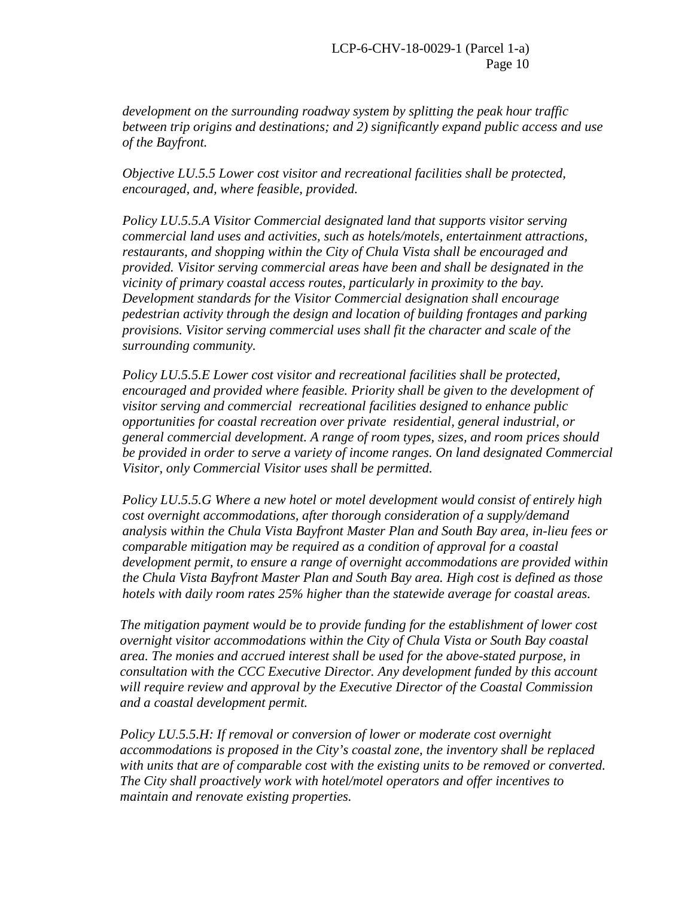*development on the surrounding roadway system by splitting the peak hour traffic between trip origins and destinations; and 2) significantly expand public access and use of the Bayfront.* 

*Objective LU.5.5 Lower cost visitor and recreational facilities shall be protected, encouraged, and, where feasible, provided.* 

*Policy LU.5.5.A Visitor Commercial designated land that supports visitor serving commercial land uses and activities, such as hotels/motels, entertainment attractions, restaurants, and shopping within the City of Chula Vista shall be encouraged and provided. Visitor serving commercial areas have been and shall be designated in the vicinity of primary coastal access routes, particularly in proximity to the bay. Development standards for the Visitor Commercial designation shall encourage pedestrian activity through the design and location of building frontages and parking provisions. Visitor serving commercial uses shall fit the character and scale of the surrounding community.* 

*Policy LU.5.5.E Lower cost visitor and recreational facilities shall be protected, encouraged and provided where feasible. Priority shall be given to the development of visitor serving and commercial recreational facilities designed to enhance public opportunities for coastal recreation over private residential, general industrial, or general commercial development. A range of room types, sizes, and room prices should be provided in order to serve a variety of income ranges. On land designated Commercial Visitor, only Commercial Visitor uses shall be permitted.*

*Policy LU.5.5.G Where a new hotel or motel development would consist of entirely high cost overnight accommodations, after thorough consideration of a supply/demand analysis within the Chula Vista Bayfront Master Plan and South Bay area, in-lieu fees or comparable mitigation may be required as a condition of approval for a coastal development permit, to ensure a range of overnight accommodations are provided within the Chula Vista Bayfront Master Plan and South Bay area. High cost is defined as those hotels with daily room rates 25% higher than the statewide average for coastal areas.* 

*The mitigation payment would be to provide funding for the establishment of lower cost overnight visitor accommodations within the City of Chula Vista or South Bay coastal area. The monies and accrued interest shall be used for the above-stated purpose, in consultation with the CCC Executive Director. Any development funded by this account will require review and approval by the Executive Director of the Coastal Commission and a coastal development permit.* 

*Policy LU.5.5.H: If removal or conversion of lower or moderate cost overnight accommodations is proposed in the City's coastal zone, the inventory shall be replaced with units that are of comparable cost with the existing units to be removed or converted. The City shall proactively work with hotel/motel operators and offer incentives to maintain and renovate existing properties.*